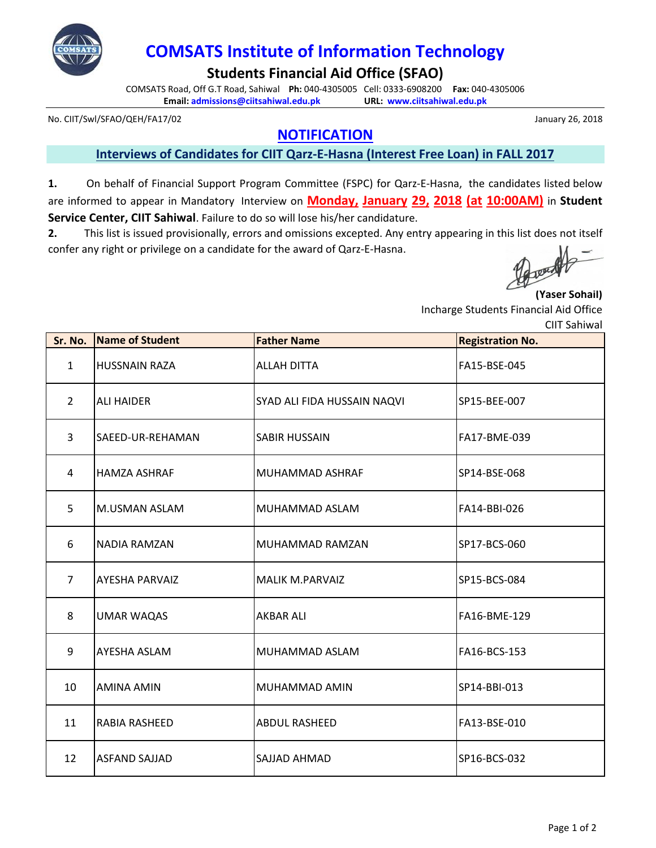

# **COMSATS Institute of Information Technology**

**Students Financial Aid Office (SFAO)**

COMSATS Road, Off G.T Road, Sahiwal **Ph:** 040-4305005 Cell: 0333-6908200 **Fax:** 040-4305006 **Email: admissions@ciitsahiwal.edu.pk URL: www.ciitsahiwal.edu.pk**

No. CIIT/Swl/SFAO/QEH/FA17/02

## **NOTIFICATION**

**Interviews of Candidates for CIIT Qarz-E-Hasna (Interest Free Loan) in FALL 2017**

**1.** On behalf of Financial Support Program Committee (FSPC) for Qarz-E-Hasna, the candidates listed below are informed to appear in Mandatory Interview on **Monday, January 29, 2018 (at 10:00AM)** in **Student Service Center, CIIT Sahiwal**. Failure to do so will lose his/her candidature.

**2.** This list is issued provisionally, errors and omissions excepted. Any entry appearing in this list does not itself confer any right or privilege on a candidate for the award of Qarz-E-Hasna.

Joan

#### **(Yaser Sohail)**

Incharge Students Financial Aid Office

CIIT Sahiwal

| Sr. No.        | <b>Name of Student</b> | <b>Father Name</b>          | <b>Registration No.</b> |
|----------------|------------------------|-----------------------------|-------------------------|
| $\mathbf{1}$   | <b>HUSSNAIN RAZA</b>   | <b>ALLAH DITTA</b>          | FA15-BSE-045            |
| $\overline{2}$ | <b>ALI HAIDER</b>      | SYAD ALI FIDA HUSSAIN NAQVI | SP15-BEE-007            |
| 3              | SAEED-UR-REHAMAN       | <b>SABIR HUSSAIN</b>        | FA17-BME-039            |
| 4              | <b>HAMZA ASHRAF</b>    | MUHAMMAD ASHRAF             | SP14-BSE-068            |
| 5              | M.USMAN ASLAM          | MUHAMMAD ASLAM              | FA14-BBI-026            |
| 6              | NADIA RAMZAN           | MUHAMMAD RAMZAN             | SP17-BCS-060            |
| $\overline{7}$ | <b>AYESHA PARVAIZ</b>  | <b>MALIK M.PARVAIZ</b>      | SP15-BCS-084            |
| 8              | <b>UMAR WAQAS</b>      | <b>AKBAR ALI</b>            | FA16-BME-129            |
| 9              | AYESHA ASLAM           | MUHAMMAD ASLAM              | FA16-BCS-153            |
| 10             | AMINA AMIN             | MUHAMMAD AMIN               | SP14-BBI-013            |
| 11             | RABIA RASHEED          | ABDUL RASHEED               | FA13-BSE-010            |
| 12             | <b>ASFAND SAJJAD</b>   | SAJJAD AHMAD                | SP16-BCS-032            |

January 26, 2018